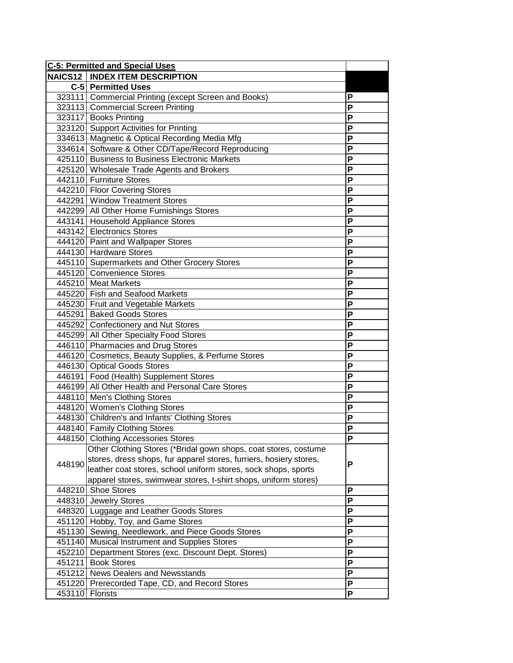| <b>C-5: Permitted and Special Uses</b> |                                                                    |   |
|----------------------------------------|--------------------------------------------------------------------|---|
|                                        | <b>NAICS12   INDEX ITEM DESCRIPTION</b>                            |   |
|                                        | C-5 Permitted Uses                                                 |   |
|                                        | 323111 Commercial Printing (except Screen and Books)               | P |
|                                        | 323113 Commercial Screen Printing                                  | P |
|                                        | 323117 Books Printing                                              | P |
|                                        | 323120 Support Activities for Printing                             | Ρ |
|                                        | 334613 Magnetic & Optical Recording Media Mfg                      | P |
|                                        | 334614 Software & Other CD/Tape/Record Reproducing                 | P |
|                                        | 425110 Business to Business Electronic Markets                     | P |
|                                        | 425120 Wholesale Trade Agents and Brokers                          | P |
|                                        | 442110 Furniture Stores                                            | P |
|                                        | 442210 Floor Covering Stores                                       | P |
|                                        | 442291 Window Treatment Stores                                     | P |
|                                        | 442299 All Other Home Furnishings Stores                           | P |
|                                        | 443141 Household Appliance Stores                                  | P |
|                                        | 443142 Electronics Stores                                          | P |
|                                        | 444120 Paint and Wallpaper Stores                                  | P |
|                                        | 444130 Hardware Stores                                             | P |
|                                        | 445110 Supermarkets and Other Grocery Stores                       | P |
|                                        | 445120 Convenience Stores                                          | P |
|                                        | 445210 Meat Markets                                                | P |
|                                        | 445220 Fish and Seafood Markets                                    | P |
|                                        | 445230 Fruit and Vegetable Markets                                 | P |
|                                        | 445291 Baked Goods Stores                                          | P |
|                                        | 445292 Confectionery and Nut Stores                                | P |
|                                        | 445299 All Other Specialty Food Stores                             | P |
|                                        | 446110 Pharmacies and Drug Stores                                  | P |
|                                        | 446120 Cosmetics, Beauty Supplies, & Perfume Stores                | P |
|                                        | 446130 Optical Goods Stores                                        | P |
|                                        | 446191 Food (Health) Supplement Stores                             | P |
|                                        | 446199 All Other Health and Personal Care Stores                   | P |
|                                        | 448110 Men's Clothing Stores                                       | P |
|                                        | 448120 Women's Clothing Stores                                     | P |
|                                        | 448130 Children's and Infants' Clothing Stores                     | P |
|                                        | 448140 Family Clothing Stores                                      | P |
|                                        | 448150 Clothing Accessories Stores                                 | ۲ |
|                                        | Other Clothing Stores (*Bridal gown shops, coat stores, costume    |   |
| 448190                                 | stores, dress shops, fur apparel stores, furriers, hosiery stores, | P |
|                                        | leather coat stores, school uniform stores, sock shops, sports     |   |
|                                        | apparel stores, swimwear stores, t-shirt shops, uniform stores)    |   |
| 448210                                 | <b>Shoe Stores</b>                                                 | P |
| 448310                                 | <b>Jewelry Stores</b>                                              | P |
| 448320                                 | Luggage and Leather Goods Stores                                   | P |
| 451120                                 | Hobby, Toy, and Game Stores                                        | P |
| 451130                                 | Sewing, Needlework, and Piece Goods Stores                         | P |
| 451140                                 | <b>Musical Instrument and Supplies Stores</b>                      | P |
| 452210                                 | Department Stores (exc. Discount Dept. Stores)                     | P |
| 451211                                 | <b>Book Stores</b>                                                 | P |
| 451212                                 | <b>News Dealers and Newsstands</b>                                 | P |
| 451220                                 | Prerecorded Tape, CD, and Record Stores                            | P |
| 453110                                 | Florists                                                           | P |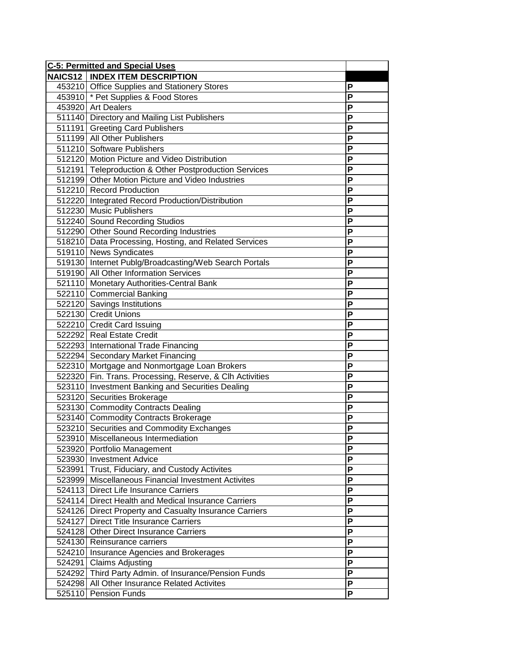| <b>C-5: Permitted and Special Uses</b> |                                                          |                |
|----------------------------------------|----------------------------------------------------------|----------------|
|                                        | <b>NAICS12   INDEX ITEM DESCRIPTION</b>                  |                |
|                                        | 453210 Office Supplies and Stationery Stores             | Ρ              |
|                                        | 453910 * Pet Supplies & Food Stores                      | P              |
|                                        | 453920 Art Dealers                                       | P              |
|                                        | 511140 Directory and Mailing List Publishers             | P              |
|                                        | 511191 Greeting Card Publishers                          | P              |
|                                        | 511199 All Other Publishers                              | P              |
|                                        | 511210 Software Publishers                               | P              |
|                                        | 512120 Motion Picture and Video Distribution             | P              |
|                                        | 512191 Teleproduction & Other Postproduction Services    | P              |
|                                        | 512199 Other Motion Picture and Video Industries         | P              |
|                                        | 512210 Record Production                                 | P              |
|                                        | 512220 Integrated Record Production/Distribution         | P              |
|                                        | 512230 Music Publishers                                  | P              |
|                                        | 512240 Sound Recording Studios                           | P              |
|                                        | 512290 Other Sound Recording Industries                  | P              |
|                                        | 518210 Data Processing, Hosting, and Related Services    | P              |
|                                        | 519110 News Syndicates                                   | P              |
|                                        | 519130 Internet Publg/Broadcasting/Web Search Portals    | P              |
|                                        | 519190 All Other Information Services                    | P              |
|                                        | 521110 Monetary Authorities-Central Bank                 | P              |
|                                        | 522110 Commercial Banking                                | P              |
|                                        | 522120 Savings Institutions                              | P              |
|                                        | 522130 Credit Unions                                     | P              |
|                                        | 522210 Credit Card Issuing                               | P              |
|                                        | 522292 Real Estate Credit                                | P              |
|                                        | 522293 International Trade Financing                     | P              |
|                                        | 522294 Secondary Market Financing                        | P              |
|                                        | 522310 Mortgage and Nonmortgage Loan Brokers             | P              |
|                                        | 522320 Fin. Trans. Processing, Reserve, & Clh Activities | P              |
|                                        | 523110 Investment Banking and Securities Dealing         | P              |
|                                        | 523120 Securities Brokerage                              | P              |
|                                        | 523130 Commodity Contracts Dealing                       | $\overline{P}$ |
|                                        | 523140 Commodity Contracts Brokerage                     | P              |
|                                        | 523210 Securities and Commodity Exchanges                | P              |
|                                        | 523910 Miscellaneous Intermediation                      | P              |
|                                        | 523920 Portfolio Management                              | P              |
|                                        | 523930 Investment Advice                                 | P              |
| 523991                                 | Trust, Fiduciary, and Custody Activites                  | P              |
|                                        | 523999 Miscellaneous Financial Investment Activites      | P              |
|                                        | 524113 Direct Life Insurance Carriers                    | P              |
|                                        | 524114 Direct Health and Medical Insurance Carriers      | P              |
|                                        | 524126 Direct Property and Casualty Insurance Carriers   | P              |
|                                        | 524127 Direct Title Insurance Carriers                   | P              |
|                                        | 524128 Other Direct Insurance Carriers                   | P              |
| 524130                                 | Reinsurance carriers                                     | P              |
| 524210                                 | Insurance Agencies and Brokerages                        | P              |
|                                        | 524291 Claims Adjusting                                  | P              |
| 524292                                 | Third Party Admin. of Insurance/Pension Funds            | P              |
| 524298                                 | All Other Insurance Related Activites                    | $\overline{P}$ |
| 525110                                 | <b>Pension Funds</b>                                     | P              |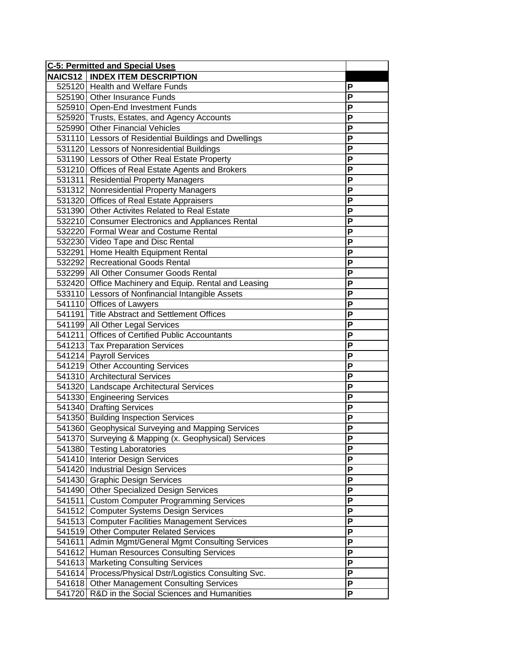| <b>C-5: Permitted and Special Uses</b> |                                                       |           |
|----------------------------------------|-------------------------------------------------------|-----------|
|                                        | <b>NAICS12   INDEX ITEM DESCRIPTION</b>               |           |
|                                        | 525120 Health and Welfare Funds                       | P         |
|                                        | 525190 Other Insurance Funds                          | P         |
|                                        | 525910 Open-End Investment Funds                      | P         |
|                                        | 525920 Trusts, Estates, and Agency Accounts           | P         |
|                                        | 525990 Other Financial Vehicles                       | Ρ         |
|                                        | 531110 Lessors of Residential Buildings and Dwellings | P         |
|                                        | 531120 Lessors of Nonresidential Buildings            | P         |
|                                        | 531190 Lessors of Other Real Estate Property          | P         |
|                                        | 531210 Offices of Real Estate Agents and Brokers      | P         |
|                                        | 531311 Residential Property Managers                  | P         |
|                                        | 531312 Nonresidential Property Managers               | P         |
|                                        | 531320 Offices of Real Estate Appraisers              | P         |
|                                        | 531390 Other Activites Related to Real Estate         | P         |
|                                        | 532210 Consumer Electronics and Appliances Rental     | P         |
|                                        | 532220 Formal Wear and Costume Rental                 | P         |
|                                        | 532230 Video Tape and Disc Rental                     | P         |
|                                        | 532291 Home Health Equipment Rental                   | P         |
|                                        | 532292 Recreational Goods Rental                      | P         |
|                                        | 532299 All Other Consumer Goods Rental                | P         |
|                                        | 532420 Office Machinery and Equip. Rental and Leasing | P         |
|                                        | 533110 Lessors of Nonfinancial Intangible Assets      | P         |
|                                        | 541110 Offices of Lawyers                             | P         |
|                                        | 541191 Title Abstract and Settlement Offices          | P         |
|                                        | 541199 All Other Legal Services                       | P         |
|                                        | 541211 Offices of Certified Public Accountants        | P         |
|                                        | 541213 Tax Preparation Services                       | P         |
|                                        | 541214 Payroll Services                               | P         |
|                                        | 541219 Other Accounting Services                      | P         |
|                                        | 541310 Architectural Services                         | P         |
|                                        | 541320 Landscape Architectural Services               | P         |
|                                        | 541330 Engineering Services                           | P         |
|                                        | 541340 Drafting Services                              | P         |
|                                        | 541350 Building Inspection Services                   | P         |
|                                        | 541360 Geophysical Surveying and Mapping Services     | P         |
|                                        | 541370 Surveying & Mapping (x. Geophysical) Services  | P         |
|                                        | 541380 Testing Laboratories                           | P         |
|                                        | 541410 Interior Design Services                       | P         |
|                                        | 541420 Industrial Design Services                     | P         |
|                                        | 541430 Graphic Design Services                        | P         |
|                                        | 541490 Other Specialized Design Services              | P         |
| 541511                                 | <b>Custom Computer Programming Services</b>           | P         |
| 541512                                 | <b>Computer Systems Design Services</b>               | P         |
| 541513                                 | <b>Computer Facilities Management Services</b>        | P         |
| 541519                                 | <b>Other Computer Related Services</b>                | P         |
| 541611                                 | Admin Mgmt/General Mgmt Consulting Services           | P         |
| 541612                                 | Human Resources Consulting Services                   | P         |
| 541613                                 | <b>Marketing Consulting Services</b>                  | P         |
| 541614                                 | Process/Physical Dstr/Logistics Consulting Svc.       | ${\sf P}$ |
| 541618                                 | <b>Other Management Consulting Services</b>           | P         |
| 541720                                 | R&D in the Social Sciences and Humanities             | P         |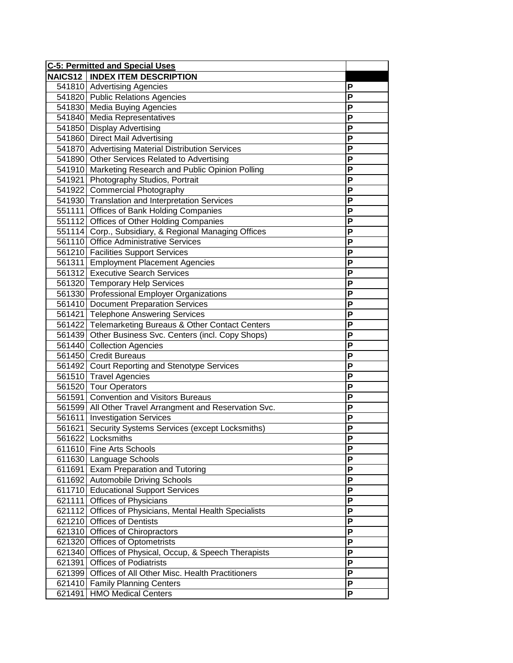| <b>C-5: Permitted and Special Uses</b> |                                                         |   |
|----------------------------------------|---------------------------------------------------------|---|
|                                        | <b>NAICS12   INDEX ITEM DESCRIPTION</b>                 |   |
|                                        | 541810 Advertising Agencies                             | P |
|                                        | 541820 Public Relations Agencies                        | P |
|                                        | 541830 Media Buying Agencies                            | P |
|                                        | 541840 Media Representatives                            | P |
|                                        | 541850 Display Advertising                              | P |
|                                        | 541860 Direct Mail Advertising                          | P |
|                                        | 541870 Advertising Material Distribution Services       | P |
|                                        | 541890 Other Services Related to Advertising            | P |
|                                        | 541910 Marketing Research and Public Opinion Polling    | P |
|                                        | 541921 Photography Studios, Portrait                    | P |
|                                        | 541922 Commercial Photography                           | P |
|                                        | 541930 Translation and Interpretation Services          | P |
|                                        | 551111 Offices of Bank Holding Companies                | P |
|                                        | 551112 Offices of Other Holding Companies               | P |
|                                        | 551114 Corp., Subsidiary, & Regional Managing Offices   | P |
|                                        | 561110 Office Administrative Services                   | P |
|                                        | 561210 Facilities Support Services                      | P |
|                                        | 561311 Employment Placement Agencies                    | P |
|                                        | 561312 Executive Search Services                        | P |
|                                        | 561320 Temporary Help Services                          | P |
|                                        | 561330 Professional Employer Organizations              | P |
|                                        | 561410 Document Preparation Services                    | P |
|                                        | 561421 Telephone Answering Services                     | P |
|                                        | 561422 Telemarketing Bureaus & Other Contact Centers    | P |
|                                        | 561439 Other Business Svc. Centers (incl. Copy Shops)   | P |
|                                        | 561440 Collection Agencies                              | P |
|                                        | 561450 Credit Bureaus                                   | P |
|                                        | 561492 Court Reporting and Stenotype Services           | P |
|                                        | 561510 Travel Agencies                                  | P |
|                                        | 561520 Tour Operators                                   | P |
|                                        | 561591 Convention and Visitors Bureaus                  | P |
|                                        | 561599 All Other Travel Arrangment and Reservation Svc. | P |
|                                        | 561611 Investigation Services                           | P |
|                                        | 561621 Security Systems Services (except Locksmiths)    | P |
|                                        | 561622 Locksmiths                                       | Р |
| 611610                                 | Fine Arts Schools                                       | P |
|                                        | 611630 Language Schools                                 | P |
|                                        | 611691 Exam Preparation and Tutoring                    | P |
|                                        | 611692 Automobile Driving Schools                       | P |
|                                        | 611710 Educational Support Services                     | P |
| 621111                                 | <b>Offices of Physicians</b>                            | P |
| 621112                                 | Offices of Physicians, Mental Health Specialists        | P |
| 621210                                 | <b>Offices of Dentists</b>                              | P |
| 621310                                 | Offices of Chiropractors                                | P |
| 621320                                 | <b>Offices of Optometrists</b>                          | P |
| 621340                                 | Offices of Physical, Occup, & Speech Therapists         | P |
| 621391                                 | <b>Offices of Podiatrists</b>                           | P |
| 621399                                 | Offices of All Other Misc. Health Practitioners         | P |
| 621410                                 | <b>Family Planning Centers</b>                          | P |
| 621491                                 | <b>HMO Medical Centers</b>                              | P |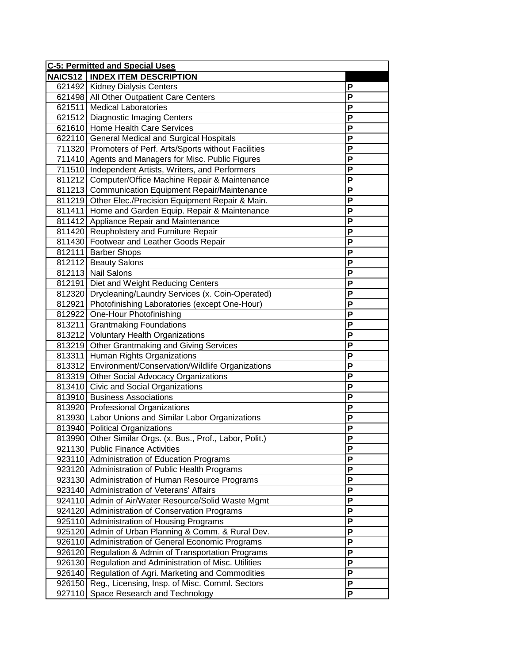| <b>C-5: Permitted and Special Uses</b> |                                                                                                 |                |
|----------------------------------------|-------------------------------------------------------------------------------------------------|----------------|
| NAICS12                                | <b>INDEX ITEM DESCRIPTION</b>                                                                   |                |
|                                        | 621492 Kidney Dialysis Centers                                                                  | P              |
|                                        | 621498 All Other Outpatient Care Centers                                                        | P              |
|                                        | 621511 Medical Laboratories                                                                     | P              |
|                                        | 621512 Diagnostic Imaging Centers                                                               | P              |
|                                        | 621610 Home Health Care Services                                                                | P              |
|                                        | 622110 General Medical and Surgical Hospitals                                                   | P              |
|                                        | 711320 Promoters of Perf. Arts/Sports without Facilities                                        | P              |
|                                        | 711410 Agents and Managers for Misc. Public Figures                                             | P              |
|                                        | 711510 Independent Artists, Writers, and Performers                                             | P              |
|                                        | 811212 Computer/Office Machine Repair & Maintenance                                             | P              |
|                                        | 811213 Communication Equipment Repair/Maintenance                                               | P              |
|                                        | 811219 Other Elec./Precision Equipment Repair & Main.                                           | P              |
|                                        | 811411 Home and Garden Equip. Repair & Maintenance                                              | P              |
|                                        | 811412 Appliance Repair and Maintenance                                                         | P              |
|                                        | 811420 Reupholstery and Furniture Repair                                                        | P              |
|                                        | 811430 Footwear and Leather Goods Repair                                                        | P              |
|                                        | 812111 Barber Shops                                                                             | P              |
|                                        | 812112 Beauty Salons                                                                            | P              |
|                                        | 812113 Nail Salons                                                                              | P              |
|                                        | 812191 Diet and Weight Reducing Centers                                                         | P              |
|                                        | 812320 Drycleaning/Laundry Services (x. Coin-Operated)                                          | P              |
|                                        | 812921 Photofinishing Laboratories (except One-Hour)                                            | P              |
|                                        | 812922 One-Hour Photofinishing                                                                  | P              |
| 813211                                 | <b>Grantmaking Foundations</b>                                                                  | P              |
|                                        | 813212 Voluntary Health Organizations                                                           | P              |
|                                        | 813219 Other Grantmaking and Giving Services                                                    | P              |
|                                        | 813311 Human Rights Organizations                                                               | P              |
|                                        | 813312 Environment/Conservation/Wildlife Organizations                                          | P              |
|                                        | 813319 Other Social Advocacy Organizations                                                      | P              |
|                                        | 813410 Civic and Social Organizations                                                           | P              |
|                                        | 813910 Business Associations                                                                    | P              |
|                                        | 813920 Professional Organizations                                                               | $\overline{P}$ |
|                                        | 813930 Labor Unions and Similar Labor Organizations                                             | P              |
|                                        | 813940 Political Organizations                                                                  | P              |
|                                        | 813990 Other Similar Orgs. (x. Bus., Prof., Labor, Polit.)                                      | P              |
|                                        | 921130 Public Finance Activities                                                                | P              |
| 923110                                 | Administration of Education Programs                                                            | P              |
|                                        | 923120 Administration of Public Health Programs                                                 | P              |
|                                        | 923130 Administration of Human Resource Programs                                                | P              |
|                                        | 923140 Administration of Veterans' Affairs                                                      | P              |
| 924110                                 | Admin of Air/Water Resource/Solid Waste Mgmt                                                    | P              |
| 924120                                 | Administration of Conservation Programs                                                         | P              |
| 925110                                 | Administration of Housing Programs                                                              | P<br>P         |
| 925120                                 | Admin of Urban Planning & Comm. & Rural Dev.                                                    | P              |
| 926110                                 | Administration of General Economic Programs                                                     | P              |
| 926120                                 | Regulation & Admin of Transportation Programs                                                   | $\mathsf{P}$   |
| 926130                                 | Regulation and Administration of Misc. Utilities                                                | $\mathsf{P}$   |
| 926140<br>926150                       | Regulation of Agri. Marketing and Commodities<br>Reg., Licensing, Insp. of Misc. Comml. Sectors | $\mathsf{P}$   |
| 927110                                 | Space Research and Technology                                                                   | P              |
|                                        |                                                                                                 |                |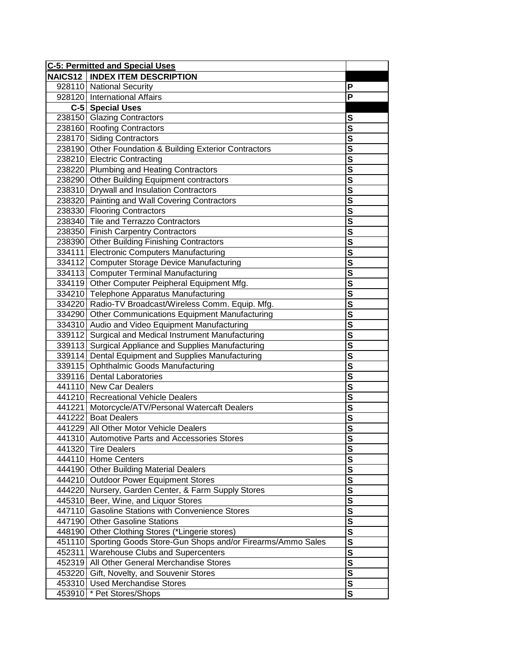| <b>C-5: Permitted and Special Uses</b> |                                                           |                         |
|----------------------------------------|-----------------------------------------------------------|-------------------------|
|                                        | <b>NAICS12   INDEX ITEM DESCRIPTION</b>                   |                         |
|                                        | 928110 National Security                                  | P                       |
|                                        | 928120 International Affairs                              | P                       |
|                                        | C-5 Special Uses                                          |                         |
|                                        | 238150 Glazing Contractors                                | S                       |
|                                        | 238160 Roofing Contractors                                | $\overline{\mathbf{s}}$ |
|                                        | 238170 Siding Contractors                                 | $\overline{\mathbf{s}}$ |
|                                        | 238190 Other Foundation & Building Exterior Contractors   | $\overline{\mathbf{s}}$ |
|                                        | 238210 Electric Contracting                               | $\overline{\mathbf{s}}$ |
|                                        | 238220 Plumbing and Heating Contractors                   | $\overline{\mathbf{s}}$ |
|                                        | 238290 Other Building Equipment contractors               | $\overline{\mathbf{s}}$ |
|                                        | 238310 Drywall and Insulation Contractors                 | $\overline{\mathbf{s}}$ |
|                                        | 238320 Painting and Wall Covering Contractors             | $\overline{\mathbf{s}}$ |
|                                        | 238330 Flooring Contractors                               | $\overline{\mathbf{s}}$ |
|                                        | 238340 Tile and Terrazzo Contractors                      | $\overline{\mathsf{s}}$ |
|                                        | 238350 Finish Carpentry Contractors                       | $\overline{s}$          |
|                                        | 238390 Other Building Finishing Contractors               | $\overline{\mathbf{s}}$ |
|                                        | 334111 Electronic Computers Manufacturing                 | $\overline{\mathbf{s}}$ |
|                                        | 334112 Computer Storage Device Manufacturing              | $\overline{\mathbf{s}}$ |
|                                        | 334113 Computer Terminal Manufacturing                    | $\overline{\mathbf{s}}$ |
|                                        | 334119 Other Computer Peipheral Equipment Mfg.            | $\overline{\mathbf{s}}$ |
|                                        | 334210 Telephone Apparatus Manufacturing                  | $\overline{\mathbf{s}}$ |
|                                        | 334220 Radio-TV Broadcast/Wireless Comm. Equip. Mfg.      | $\overline{\mathbf{s}}$ |
|                                        | 334290 Other Communications Equipment Manufacturing       | $\overline{\mathbf{s}}$ |
|                                        | 334310 Audio and Video Equipment Manufacturing            | $\overline{\mathbf{s}}$ |
|                                        | 339112 Surgical and Medical Instrument Manufacturing      | $\overline{\mathbf{s}}$ |
|                                        | 339113 Surgical Appliance and Supplies Manufacturing      | $\overline{\mathbf{s}}$ |
|                                        | 339114 Dental Equipment and Supplies Manufacturing        | $\overline{\mathbf{s}}$ |
|                                        | 339115 Ophthalmic Goods Manufacturing                     | $\overline{\mathbf{s}}$ |
|                                        | 339116 Dental Laboratories                                | $\overline{\mathbf{s}}$ |
|                                        | 441110 New Car Dealers                                    | $\overline{\mathbf{s}}$ |
|                                        | 441210 Recreational Vehicle Dealers                       | $\overline{\mathsf{s}}$ |
|                                        | 441221 Motorcycle/ATV/Personal Watercaft Dealers          | $\overline{\mathsf{s}}$ |
|                                        | 441222 Boat Dealers                                       | $\overline{\mathbf{s}}$ |
|                                        | 441229 All Other Motor Vehicle Dealers                    | $\overline{\mathbf{s}}$ |
|                                        | 441310 Automotive Parts and Accessories Stores            | <u>s</u>                |
| 441320                                 | <b>Tire Dealers</b>                                       | $\overline{\mathbf{s}}$ |
|                                        | 444110 Home Centers                                       | $\mathbf s$             |
|                                        | 444190 Other Building Material Dealers                    | $\overline{\mathbf{s}}$ |
|                                        | 444210 Outdoor Power Equipment Stores                     | $\overline{\mathbf{s}}$ |
|                                        | 444220 Nursery, Garden Center, & Farm Supply Stores       | $\overline{\mathbf{s}}$ |
| 445310                                 | Beer, Wine, and Liquor Stores                             | $\overline{\mathbf{s}}$ |
| 447110                                 | <b>Gasoline Stations with Convenience Stores</b>          | $\overline{\mathbf{s}}$ |
| 447190                                 | <b>Other Gasoline Stations</b>                            | $\overline{\mathbf{s}}$ |
| 448190                                 | Other Clothing Stores (*Lingerie stores)                  | $\overline{\mathbf{s}}$ |
| 451110                                 | Sporting Goods Store-Gun Shops and/or Firearms/Ammo Sales | $\overline{\mathbf{s}}$ |
| 452311                                 | Warehouse Clubs and Supercenters                          | $\overline{\mathbf{s}}$ |
| 452319                                 | All Other General Merchandise Stores                      | $\overline{\mathbf{s}}$ |
| 453220                                 | Gift, Novelty, and Souvenir Stores                        | $\overline{\mathbf{s}}$ |
| 453310                                 | <b>Used Merchandise Stores</b>                            | $\overline{\mathbf{s}}$ |
| 453910                                 | * Pet Stores/Shops                                        | $\overline{\mathbf{s}}$ |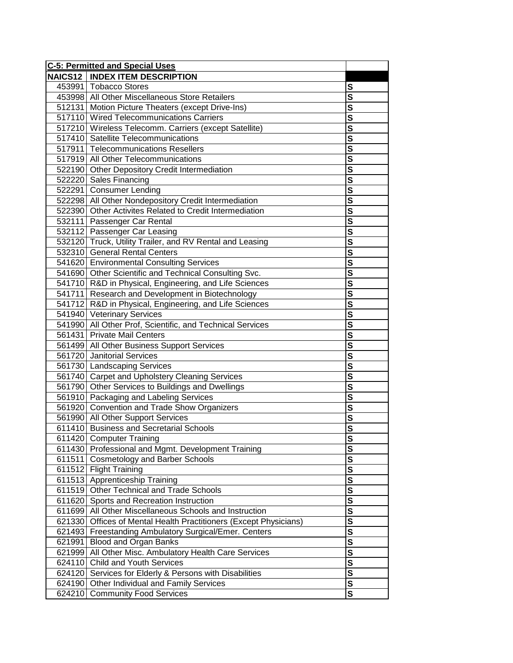| <b>C-5: Permitted and Special Uses</b> |                                                            |                         |
|----------------------------------------|------------------------------------------------------------|-------------------------|
|                                        | <b>NAICS12   INDEX ITEM DESCRIPTION</b>                    |                         |
|                                        | 453991 Tobacco Stores                                      | S                       |
|                                        | 453998 All Other Miscellaneous Store Retailers             | S                       |
|                                        | 512131 Motion Picture Theaters (except Drive-Ins)          | S                       |
|                                        | 517110 Wired Telecommunications Carriers                   | S                       |
|                                        | 517210 Wireless Telecomm. Carriers (except Satellite)      | S                       |
|                                        | 517410 Satellite Telecommunications                        | $\overline{\mathbf{s}}$ |
|                                        | 517911 Telecommunications Resellers                        | $\overline{\mathbf{s}}$ |
|                                        | 517919 All Other Telecommunications                        | $\overline{\mathbf{s}}$ |
|                                        | 522190 Other Depository Credit Intermediation              | S                       |
|                                        | 522220 Sales Financing                                     | S                       |
|                                        | 522291 Consumer Lending                                    | $\overline{\mathbf{s}}$ |
|                                        | 522298 All Other Nondepository Credit Intermediation       | $\overline{\mathbf{s}}$ |
|                                        | 522390 Other Activites Related to Credit Intermediation    | $\overline{\mathbf{s}}$ |
|                                        | 532111 Passenger Car Rental                                | $\overline{\mathbf{s}}$ |
|                                        | 532112 Passenger Car Leasing                               | $\overline{\mathsf{s}}$ |
|                                        | 532120 Truck, Utility Trailer, and RV Rental and Leasing   | $\overline{\mathbf{s}}$ |
|                                        | 532310 General Rental Centers                              | S                       |
|                                        | 541620 Environmental Consulting Services                   | S                       |
|                                        | 541690 Other Scientific and Technical Consulting Svc.      | S                       |
|                                        | 541710 R&D in Physical, Engineering, and Life Sciences     | S                       |
|                                        | 541711 Research and Development in Biotechnology           | S                       |
|                                        | 541712 R&D in Physical, Engineering, and Life Sciences     | S                       |
|                                        | 541940 Veterinary Services                                 | $\overline{\mathbf{s}}$ |
|                                        | 541990 All Other Prof, Scientific, and Technical Services  | $\overline{\mathbf{s}}$ |
|                                        | 561431 Private Mail Centers                                | S                       |
|                                        | 561499 All Other Business Support Services                 | S                       |
|                                        | 561720 Janitorial Services                                 | S                       |
|                                        | 561730 Landscaping Services                                | S                       |
|                                        | 561740 Carpet and Upholstery Cleaning Services             | $\overline{\mathbf{s}}$ |
|                                        | 561790 Other Services to Buildings and Dwellings           | $\overline{\mathbf{s}}$ |
|                                        | 561910 Packaging and Labeling Services                     | $\overline{\mathbf{s}}$ |
|                                        | 561920 Convention and Trade Show Organizers                |                         |
|                                        | 561990 All Other Support Services                          | $\overline{\mathbf{s}}$ |
|                                        | 611410 Business and Secretarial Schools                    | S                       |
|                                        | 611420 Computer Training                                   | <u>s</u>                |
|                                        | 611430 Professional and Mgmt. Development Training         | ${\bf S}$               |
| 611511                                 | <b>Cosmetology and Barber Schools</b>                      | S                       |
|                                        | 611512 Flight Training                                     | ${\bf S}$               |
|                                        | 611513 Apprenticeship Training                             | $\mathbf{s}$            |
|                                        | 611519 Other Technical and Trade Schools                   | $\overline{\mathbf{s}}$ |
| 611620                                 | Sports and Recreation Instruction                          | $\overline{\mathbf{s}}$ |
| 611699                                 | All Other Miscellaneous Schools and Instruction            | $\overline{\mathbf{s}}$ |
| 621330                                 | Offices of Mental Health Practitioners (Except Physicians) | $\overline{\mathbf{s}}$ |
| 621493                                 | Freestanding Ambulatory Surgical/Emer. Centers             | $\overline{\mathbf{s}}$ |
| 621991                                 | Blood and Organ Banks                                      | $\overline{\mathbf{s}}$ |
| 621999                                 | All Other Misc. Ambulatory Health Care Services            | $\overline{\mathbf{s}}$ |
| 624110                                 | <b>Child and Youth Services</b>                            | $\overline{\mathbf{s}}$ |
| 624120                                 | Services for Elderly & Persons with Disabilities           | $\overline{\mathbf{s}}$ |
| 624190                                 | Other Individual and Family Services                       | $\overline{\mathbf{s}}$ |
| 624210                                 | <b>Community Food Services</b>                             | $\mathbf{s}$            |